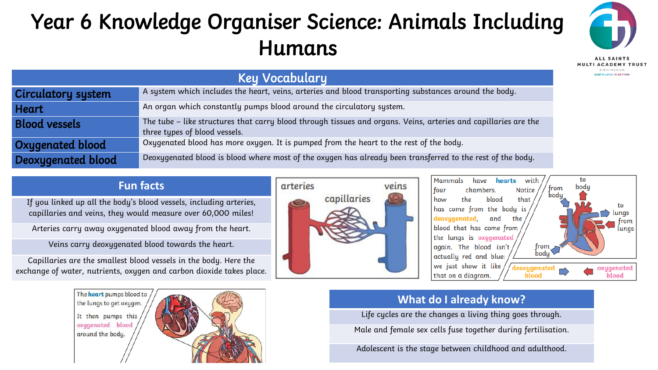# Year 6 Knowledge Organiser Science: Animals Including Humans



**RIPMINGHAM SOD'S LOVE IN ACTION** 

Key Vocabulary Circulatory system A system which includes the heart, veins, arteries and blood transporting substances around the body. **Heart** An organ which constantly pumps blood around the circulatory system. Blood vessels **The tube – like structures that carry** blood through tissues and organs. Veins, arteries and capillaries are the three types of blood vessels. Oxygenated blood **Oxygenated blood has more oxygen.** It is pumped from the heart to the rest of the body. Deoxygenated blood **Deoxygenated blood is blood where most of** the oxygen has already been transferred to the rest of the body.

#### **Fun facts**

If you linked up all the body's blood vessels, including arteries, capillaries and veins, they would measure over 60,000 miles!

Arteries carry away oxygenated blood away from the heart.

Veins carry deoxygenated blood towards the heart.

Capillaries are the smallest blood vessels in the body. Here the exchange of water, nutrients, oxygen and carbon dioxide takes place.







## **What do I already know?**

Life cycles are the changes a living thing goes through.

Male and female sex cells fuse together during fertilisation.

Adolescent is the stage between childhood and adulthood.